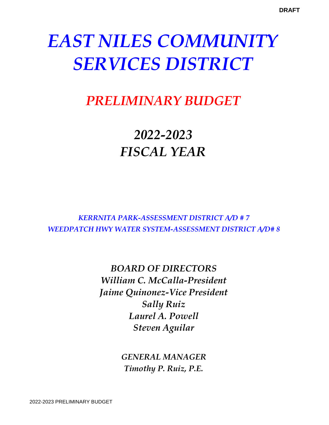# *PRELIMINARY BUDGET*

# *2022-2023 FISCAL YEAR*

*KERRNITA PARK-ASSESSMENT DISTRICT A/D # 7 WEEDPATCH HWY WATER SYSTEM-ASSESSMENT DISTRICT A/D# 8*

> *BOARD OF DIRECTORS William C. McCalla-President Jaime Quinonez-Vice President Sally Ruiz Laurel A. Powell Steven Aguilar*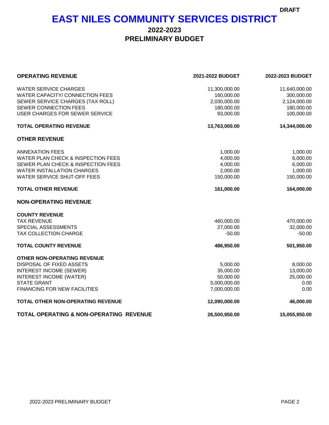## **EAST NILES COMMUNITY SERVICES DISTRICT**

### **2022-2023 PRELIMINARY BUDGET**

| <b>OPERATING REVENUE</b>                      | 2021-2022 BUDGET | 2022-2023 BUDGET |
|-----------------------------------------------|------------------|------------------|
| <b>WATER SERVICE CHARGES</b>                  | 11,300,000.00    | 11,640,000.00    |
| WATER CAPACITY/ CONNECTION FEES               | 160,000.00       | 300,000.00       |
| SEWER SERVICE CHARGES (TAX ROLL)              | 2,030,000.00     | 2,124,000.00     |
| SEWER CONNECTION FEES                         | 180,000.00       | 180,000.00       |
| <b>USER CHARGES FOR SEWER SERVICE</b>         | 93,000.00        | 100,000.00       |
| <b>TOTAL OPERATING REVENUE</b>                | 13,763,000.00    | 14,344,000.00    |
| <b>OTHER REVENUE</b>                          |                  |                  |
| <b>ANNEXATION FEES</b>                        | 1,000.00         | 1,000.00         |
| <b>WATER PLAN CHECK &amp; INSPECTION FEES</b> | 4,000.00         | 6,000.00         |
| SEWER PLAN CHECK & INSPECTION FEES            | 4,000.00         | 6,000.00         |
| <b>WATER INSTALLATION CHARGES</b>             | 2,000.00         | 1,000.00         |
| WATER SERVICE SHUT-OFF FEES                   | 150,000.00       | 150,000.00       |
| <b>TOTAL OTHER REVENUE</b>                    | 161,000.00       | 164,000.00       |
| <b>NON-OPERATING REVENUE</b>                  |                  |                  |
| <b>COUNTY REVENUE</b>                         |                  |                  |
| <b>TAX REVENUE</b>                            | 460,000.00       | 470,000.00       |
| SPECIAL ASSESSMENTS                           | 27,000.00        | 32,000.00        |
| TAX COLLECTION CHARGE                         | $-50.00$         | $-50.00$         |
| <b>TOTAL COUNTY REVENUE</b>                   | 486,950.00       | 501,950.00       |
| <b>OTHER NON-OPERATING REVENUE</b>            |                  |                  |
| DISPOSAL OF FIXED ASSETS                      | 5,000.00         | 8,000.00         |
| <b>INTEREST INCOME (SEWER)</b>                | 35,000.00        | 13,000.00        |
| INTEREST INCOME (WATER)                       | 50,000.00        | 25,000.00        |
| <b>STATE GRANT</b>                            | 5,000,000.00     | 0.00             |
| <b>FINANCING FOR NEW FACILITIES</b>           | 7,000,000.00     | 0.00             |
| TOTAL OTHER NON-OPERATING REVENUE             | 12,090,000.00    | 46,000.00        |
| TOTAL OPERATING & NON-OPERATING REVENUE       | 26,500,950.00    | 15,055,950.00    |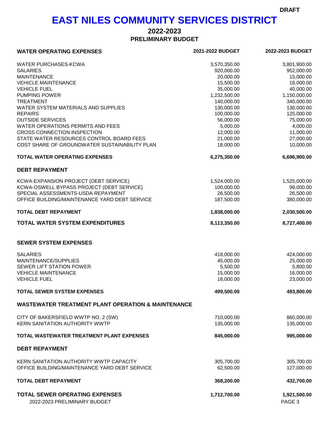## **EAST NILES COMMUNITY SERVICES DISTRICT**

## **2022-2023**

**PRELIMINARY BUDGET**

| <b>WATER OPERATING EXPENSES</b>                               | 2021-2022 BUDGET | 2022-2023 BUDGET |  |
|---------------------------------------------------------------|------------------|------------------|--|
| <b>WATER PURCHASES-KCWA</b>                                   | 3,570,350.00     | 3,801,900.00     |  |
| <b>SALARIES</b>                                               | 920,000.00       | 952,000.00       |  |
| <b>MAINTENANCE</b>                                            | 20,000.00        | 15,000.00        |  |
| <b>VEHICLE MAINTENANCE</b>                                    | 15,500.00        | 16,000.00        |  |
| <b>VEHICLE FUEL</b>                                           | 35,000.00        | 40,000.00        |  |
| <b>PUMPING POWER</b>                                          | 1,232,500.00     | 1,150,000.00     |  |
| <b>TREATMENT</b>                                              | 140,000.00       | 340,000.00       |  |
| WATER SYSTEM MATERIALS AND SUPPLIES                           | 130,000.00       | 130,000.00       |  |
| <b>REPAIRS</b>                                                | 100,000.00       | 125,000.00       |  |
| <b>OUTSIDE SERVICES</b>                                       | 56,000.00        | 75,000.00        |  |
| WATER OPERATIONS PERMITS AND FEES                             | 5,000.00         | 4,000.00         |  |
| CROSS CONNECTION INSPECTION                                   | 12,000.00        | 11,000.00        |  |
| STATE WATER RESOURCES CONTROL BOARD FEES                      | 21,000.00        | 27,000.00        |  |
| COST SHARE OF GROUNDWATER SUSTAINABILITY PLAN                 | 18,000.00        | 10,000.00        |  |
|                                                               |                  |                  |  |
| <b>TOTAL WATER OPERATING EXPENSES</b>                         | 6,275,350.00     | 6,696,900.00     |  |
| <b>DEBT REPAYMENT</b>                                         |                  |                  |  |
| KCWA-EXPANSION PROJECT (DEBT SERVICE)                         | 1,524,000.00     | 1,525,000.00     |  |
| KCWA-OSWELL BYPASS PROJECT (DEBT SERVICE)                     | 100,000.00       | 99,000.00        |  |
| SPECIAL ASSESSMENTS-USDA REPAYMENT                            | 26,500.00        | 26,500.00        |  |
| OFFICE BUILDING/MAINTENANCE YARD DEBT SERVICE                 | 187,500.00       | 380,000.00       |  |
| <b>TOTAL DEBT REPAYMENT</b>                                   | 1,838,000.00     | 2,030,500.00     |  |
| <b>TOTAL WATER SYSTEM EXPENDITURES</b>                        | 8,113,350.00     | 8,727,400.00     |  |
| <b>SEWER SYSTEM EXPENSES</b>                                  |                  |                  |  |
| <b>SALARIES</b>                                               | 418,000.00       | 424,000.00       |  |
| MAINTENANCE/SUPPLIES                                          | 45,000.00        | 25,000.00        |  |
| SEWER LIFT STATION POWER                                      | 5,500.00         | 5,800.00         |  |
| <b>VEHICLE MAINTENANCE</b>                                    | 15,000.00        | 16,000.00        |  |
| <b>VEHICLE FUEL</b>                                           | 16,000.00        | 23,000.00        |  |
|                                                               |                  |                  |  |
| <b>TOTAL SEWER SYSTEM EXPENSES</b>                            | 499,500.00       | 493,800.00       |  |
| <b>WASTEWATER TREATMENT PLANT OPERATION &amp; MAINTENANCE</b> |                  |                  |  |
| CITY OF BAKERSFIELD WWTP NO. 2 (SW)                           | 710,000.00       | 860,000.00       |  |
| <b>KERN SANITATION AUTHORITY WWTP</b>                         | 135,000.00       | 135,000.00       |  |
|                                                               |                  |                  |  |
| TOTAL WASTEWATER TREATMENT PLANT EXPENSES                     | 845,000.00       | 995,000.00       |  |
| <b>DEBT REPAYMENT</b>                                         |                  |                  |  |
| KERN SANITATION AUTHORITY WWTP CAPACITY                       | 305,700.00       | 305,700.00       |  |
| OFFICE BUILDING/MAINTENANCE YARD DEBT SERVICE                 | 62,500.00        | 127,000.00       |  |
| <b>TOTAL DEBT REPAYMENT</b>                                   | 368,200.00       | 432,700.00       |  |
| <b>TOTAL SEWER OPERATING EXPENSES</b>                         | 1,712,700.00     | 1,921,500.00     |  |
| 2022-2023 PRELIMINARY BUDGET                                  |                  | PAGE 3           |  |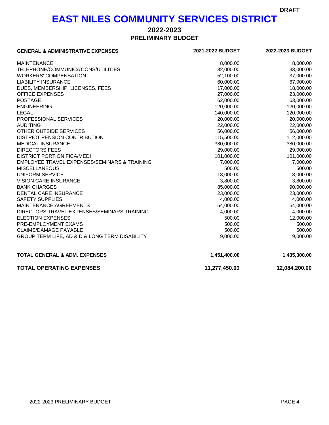## **EAST NILES COMMUNITY SERVICES DISTRICT**

### **PRELIMINARY BUDGET 2022-2023**

| <b>GENERAL &amp; ADMINISTRATIVE EXPENSES</b>   | 2021-2022 BUDGET | 2022-2023 BUDGET |  |
|------------------------------------------------|------------------|------------------|--|
| <b>MAINTENANCE</b>                             | 8,000.00         | 8,000.00         |  |
| TELEPHONE/COMMUNICATIONS/UTILITIES             | 32,000.00        | 33,000.00        |  |
| <b>WORKERS' COMPENSATION</b>                   | 52,100.00        | 37,000.00        |  |
| <b>LIABILITY INSURANCE</b>                     | 60,000.00        | 67,000.00        |  |
| DUES, MEMBERSHIP, LICENSES, FEES               | 17,000.00        | 18,000.00        |  |
| <b>OFFICE EXPENSES</b>                         | 27,000.00        | 23,000.00        |  |
| <b>POSTAGE</b>                                 | 62,000.00        | 63,000.00        |  |
| <b>ENGINEERING</b>                             | 120,000.00       | 120,000.00       |  |
| <b>LEGAL</b>                                   | 140,000.00       | 120,000.00       |  |
| PROFESSIONAL SERVICES                          | 20,000.00        | 20,000.00        |  |
| <b>AUDITING</b>                                | 22,000.00        | 22,000.00        |  |
| OTHER OUTSIDE SERVICES                         | 56,000.00        | 56,000.00        |  |
| DISTRICT PENSION CONTRIBUTION                  | 115,500.00       | 112,000.00       |  |
| <b>MEDICAL INSURANCE</b>                       | 380,000.00       | 380,000.00       |  |
| <b>DIRECTORS FEES</b>                          | 29,000.00        | 29,000.00        |  |
| <b>DISTRICT PORTION FICA/MEDI</b>              | 101,000.00       | 101,000.00       |  |
| EMPLOYEE TRAVEL EXPENSES/SEMINARS & TRAINING   | 7,000.00         | 7,000.00         |  |
| <b>MISCELLANEOUS</b>                           | 500.00           | 500.00           |  |
| <b>UNIFORM SERVICE</b>                         | 18,000.00        | 18,000.00        |  |
| <b>VISION CARE INSURANCE</b>                   | 3,800.00         | 3,800.00         |  |
| <b>BANK CHARGES</b>                            | 85,000.00        | 90,000.00        |  |
| DENTAL CARE INSURANCE                          | 23,000.00        | 23,000.00        |  |
| <b>SAFETY SUPPLIES</b>                         | 4,000.00         | 4,000.00         |  |
| MAINTENANCE AGREEMENTS                         | 54,000.00        | 54,000.00        |  |
| DIRECTORS TRAVEL EXPENSES/SEMINARS TRAINING    | 4,000.00         | 4,000.00         |  |
| <b>ELECTION EXPENSES</b>                       | 500.00           | 12,000.00        |  |
| PRE-EMPLOYMENT EXAMS                           | 500.00           | 500.00           |  |
| <b>CLAIMS/DAMAGE PAYABLE</b>                   | 500.00           | 500.00           |  |
| GROUP TERM LIFE, AD & D & LONG TERM DISABILITY | 9,000.00         | 9,000.00         |  |
| <b>TOTAL GENERAL &amp; ADM. EXPENSES</b>       | 1,451,400.00     | 1,435,300.00     |  |
| <b>TOTAL OPERATING EXPENSES</b>                | 11,277,450.00    | 12,084,200.00    |  |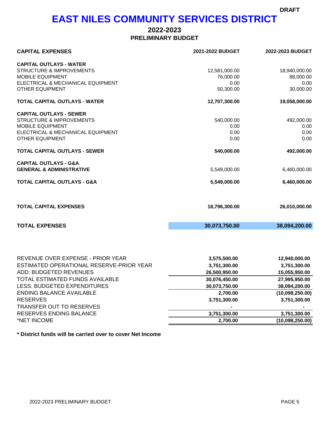## **EAST NILES COMMUNITY SERVICES DISTRICT**

### **PRELIMINARY BUDGET 2022-2023**

| <b>CAPITAL OUTLAYS - WATER</b><br><b>STRUCTURE &amp; IMPROVEMENTS</b><br>12,581,000.00<br><b>MOBILE EQUIPMENT</b><br>76,000.00<br>ELECTRICAL & MECHANICAL EQUIPMENT<br>0.00<br><b>OTHER EQUIPMENT</b><br>50,300.00<br>TOTAL CAPITAL OUTLAYS - WATER<br>12,707,300.00<br><b>CAPITAL OUTLAYS - SEWER</b><br><b>STRUCTURE &amp; IMPROVEMENTS</b><br>540,000.00<br><b>MOBILE EQUIPMENT</b><br>0.00<br>ELECTRICAL & MECHANICAL EQUIPMENT<br>0.00<br><b>OTHER EQUIPMENT</b><br>0.00<br><b>TOTAL CAPITAL OUTLAYS - SEWER</b><br>540,000.00<br><b>CAPITAL OUTLAYS - G&amp;A</b><br><b>GENERAL &amp; ADMINISTRATIVE</b><br>5,549,000.00 | <b>CAPITAL EXPENSES</b> | 2021-2022 BUDGET | 2022-2023 BUDGET |  |
|--------------------------------------------------------------------------------------------------------------------------------------------------------------------------------------------------------------------------------------------------------------------------------------------------------------------------------------------------------------------------------------------------------------------------------------------------------------------------------------------------------------------------------------------------------------------------------------------------------------------------------|-------------------------|------------------|------------------|--|
|                                                                                                                                                                                                                                                                                                                                                                                                                                                                                                                                                                                                                                |                         |                  |                  |  |
|                                                                                                                                                                                                                                                                                                                                                                                                                                                                                                                                                                                                                                |                         |                  | 18,940,000.00    |  |
|                                                                                                                                                                                                                                                                                                                                                                                                                                                                                                                                                                                                                                |                         |                  | 88,000.00        |  |
|                                                                                                                                                                                                                                                                                                                                                                                                                                                                                                                                                                                                                                |                         |                  | 0.00             |  |
|                                                                                                                                                                                                                                                                                                                                                                                                                                                                                                                                                                                                                                |                         |                  | 30,000.00        |  |
|                                                                                                                                                                                                                                                                                                                                                                                                                                                                                                                                                                                                                                |                         |                  | 19,058,000.00    |  |
|                                                                                                                                                                                                                                                                                                                                                                                                                                                                                                                                                                                                                                |                         |                  |                  |  |
|                                                                                                                                                                                                                                                                                                                                                                                                                                                                                                                                                                                                                                |                         |                  | 492,000.00       |  |
|                                                                                                                                                                                                                                                                                                                                                                                                                                                                                                                                                                                                                                |                         |                  | 0.00             |  |
|                                                                                                                                                                                                                                                                                                                                                                                                                                                                                                                                                                                                                                |                         |                  | 0.00             |  |
|                                                                                                                                                                                                                                                                                                                                                                                                                                                                                                                                                                                                                                |                         |                  | 0.00             |  |
|                                                                                                                                                                                                                                                                                                                                                                                                                                                                                                                                                                                                                                |                         |                  | 492,000.00       |  |
|                                                                                                                                                                                                                                                                                                                                                                                                                                                                                                                                                                                                                                |                         |                  | 6,460,000.00     |  |
| <b>TOTAL CAPITAL OUTLAYS - G&amp;A</b>                                                                                                                                                                                                                                                                                                                                                                                                                                                                                                                                                                                         |                         | 5,549,000.00     | 6,460,000.00     |  |
| <b>TOTAL CAPITAL EXPENSES</b><br>18,796,300.00                                                                                                                                                                                                                                                                                                                                                                                                                                                                                                                                                                                 |                         |                  | 26,010,000.00    |  |
| <b>TOTAL EXPENSES</b><br>30,073,750.00                                                                                                                                                                                                                                                                                                                                                                                                                                                                                                                                                                                         |                         |                  | 38,094,200.00    |  |
|                                                                                                                                                                                                                                                                                                                                                                                                                                                                                                                                                                                                                                |                         |                  |                  |  |
| REVENUE OVER EXPENSE - PRIOR YEAR<br>3,575,500.00                                                                                                                                                                                                                                                                                                                                                                                                                                                                                                                                                                              |                         |                  | 12,940,000.00    |  |
| ESTIMATED OPERATIONAL RESERVE-PRIOR YEAR<br>3,751,300.00                                                                                                                                                                                                                                                                                                                                                                                                                                                                                                                                                                       |                         |                  | 3,751,300.00     |  |
| ADD: BUDGETED REVENUES<br>26,500,950.00                                                                                                                                                                                                                                                                                                                                                                                                                                                                                                                                                                                        |                         |                  | 15,055,950.00    |  |
| TOTAL ESTIMATED FUNDS AVAILABLE<br>30,076,450.00                                                                                                                                                                                                                                                                                                                                                                                                                                                                                                                                                                               |                         |                  | 27,995,950.00    |  |
| LESS: BUDGETED EXPENDITURES<br>30,073,750.00                                                                                                                                                                                                                                                                                                                                                                                                                                                                                                                                                                                   |                         |                  | 38,094,200.00    |  |
| <b>ENDING BALANCE AVAILABLE</b><br>2,700.00                                                                                                                                                                                                                                                                                                                                                                                                                                                                                                                                                                                    |                         |                  | (10,098,250.00)  |  |
| <b>RESERVES</b><br>3,751,300.00                                                                                                                                                                                                                                                                                                                                                                                                                                                                                                                                                                                                |                         |                  | 3,751,300.00     |  |
| <b>TRANSFER OUT TO RESERVES</b>                                                                                                                                                                                                                                                                                                                                                                                                                                                                                                                                                                                                |                         |                  |                  |  |
| RESERVES ENDING BALANCE<br>3,751,300.00                                                                                                                                                                                                                                                                                                                                                                                                                                                                                                                                                                                        |                         |                  | 3,751,300.00     |  |
| *NET INCOME<br>2,700.00                                                                                                                                                                                                                                                                                                                                                                                                                                                                                                                                                                                                        |                         |                  | (10,098,250.00)  |  |

**\* District funds will be carried over to cover Net Income**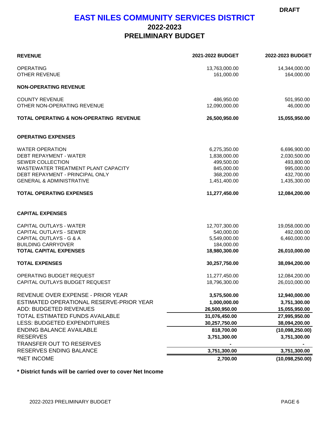### **EAST NILES COMMUNITY SERVICES DISTRICT**

### **2022-2023 PRELIMINARY BUDGET**

| <b>REVENUE</b>                                                         | 2021-2022 BUDGET            | 2022-2023 BUDGET            |
|------------------------------------------------------------------------|-----------------------------|-----------------------------|
| <b>OPERATING</b><br><b>OTHER REVENUE</b>                               | 13,763,000.00<br>161,000.00 | 14,344,000.00<br>164,000.00 |
| <b>NON-OPERATING REVENUE</b>                                           |                             |                             |
| <b>COUNTY REVENUE</b>                                                  | 486,950.00                  | 501,950.00                  |
| OTHER NON-OPERATING REVENUE                                            | 12,090,000.00               | 46,000.00                   |
| <b>TOTAL OPERATING &amp; NON-OPERATING REVENUE</b>                     | 26,500,950.00               | 15,055,950.00               |
| <b>OPERATING EXPENSES</b>                                              |                             |                             |
| <b>WATER OPERATION</b>                                                 | 6,275,350.00                | 6,696,900.00                |
| <b>DEBT REPAYMENT - WATER</b>                                          | 1,838,000.00                | 2,030,500.00                |
| SEWER COLLECTION                                                       | 499,500.00                  | 493,800.00                  |
| WASTEWATER TREATMENT PLANT CAPACITY<br>DEBT REPAYMENT - PRINCIPAL ONLY | 845,000.00                  | 995,000.00                  |
| <b>GENERAL &amp; ADMINISTRATIVE</b>                                    | 368,200.00<br>1,451,400.00  | 432,700.00<br>1,435,300.00  |
|                                                                        |                             |                             |
| <b>TOTAL OPERATING EXPENSES</b>                                        | 11,277,450.00               | 12,084,200.00               |
| <b>CAPITAL EXPENSES</b>                                                |                             |                             |
| <b>CAPITAL OUTLAYS - WATER</b>                                         | 12,707,300.00               | 19,058,000.00               |
| <b>CAPITAL OUTLAYS - SEWER</b>                                         | 540,000.00                  | 492,000.00                  |
| <b>CAPITAL OUTLAYS - G &amp; A</b>                                     | 5,549,000.00                | 6,460,000.00                |
| <b>BUILDING CARRYOVER</b>                                              | 184,000.00                  |                             |
| <b>TOTAL CAPITAL EXPENSES</b>                                          | 18,980,300.00               | 26,010,000.00               |
| <b>TOTAL EXPENSES</b>                                                  | 30,257,750.00               | 38,094,200.00               |
| OPERATING BUDGET REQUEST                                               | 11,277,450.00               | 12,084,200.00               |
| CAPITAL OUTLAYS BUDGET REQUEST                                         | 18,796,300.00               | 26,010,000.00               |
| REVENUE OVER EXPENSE - PRIOR YEAR                                      | 3,575,500.00                | 12,940,000.00               |
| ESTIMATED OPERATIONAL RESERVE-PRIOR YEAR                               | 1,000,000.00                | 3,751,300.00                |
| <b>ADD: BUDGETED REVENUES</b>                                          | 26,500,950.00               | 15,055,950.00               |
| TOTAL ESTIMATED FUNDS AVAILABLE                                        | 31,076,450.00               | 27,995,950.00               |
| <b>LESS: BUDGETED EXPENDITURES</b>                                     | 30,257,750.00               | 38,094,200.00               |
| <b>ENDING BALANCE AVAILABLE</b>                                        | 818,700.00                  | (10,098,250.00)             |
| <b>RESERVES</b>                                                        | 3,751,300.00                | 3,751,300.00                |
| <b>TRANSFER OUT TO RESERVES</b>                                        |                             |                             |
| RESERVES ENDING BALANCE                                                | 3,751,300.00                | 3,751,300.00                |
| *NET INCOME                                                            | 2,700.00                    | (10,098,250.00)             |

**\* District funds will be carried over to cover Net Income**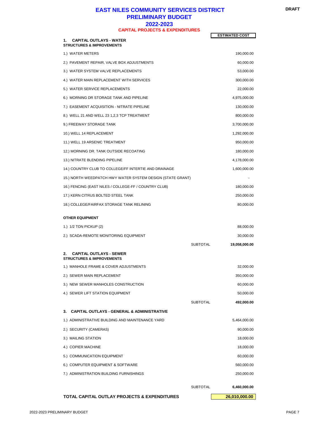#### **EAST NILES COMMUNITY SERVICES DISTRICT PRELIMINARY BUDGET 2022-2023 CAPITAL PROJECTS & EXPENDITURES**

|                                                                              |                 | <b>ESTIMATED COST</b> |
|------------------------------------------------------------------------------|-----------------|-----------------------|
| <b>CAPITAL OUTLAYS - WATER</b><br><b>STRUCTURES &amp; IMPROVEMENTS</b>       |                 |                       |
| 1.) WATER METERS                                                             |                 | 190,000.00            |
| 2.) PAVEMENT REPAIR, VALVE BOX ADJUSTMENTS                                   |                 | 60,000.00             |
| 3.) WATER SYSTEM VALVE REPLACEMENTS                                          |                 | 53,000.00             |
| 4.) WATER MAIN REPLACEMENT WITH SERVICES                                     |                 | 300,000.00            |
| 5.) WATER SERVICE REPLACEMENTS                                               |                 | 22,000.00             |
| 6.) MORNING DR STORAGE TANK AND PIPELINE                                     |                 | 4,975,000.00          |
| 7.) EASEMENT ACQUISITION - NITRATE PIPELINE                                  |                 | 130,000.00            |
| 8.) WELL 21 AND WELL 23 1,2,3 TCP TREATMENT                                  |                 | 800,000.00            |
| 9.) FREEWAY STORAGE TANK                                                     |                 | 3,700,000.00          |
| 10.) WELL 14 REPLACEMENT                                                     |                 | 1,292,000.00          |
| 11.) WELL 19 ARSENIC TREATMENT                                               |                 | 950,000.00            |
| 12.) MORNING DR. TANK OUTSIDE RECOATING                                      |                 | 180,000.00            |
| 13.) NITRATE BLENDING PIPELINE                                               |                 | 4,178,000.00          |
| 14.) COUNTRY CLUB TO COLLEGE/FF INTERTIE AND DRAINAGE                        |                 | 1,600,000.00          |
| 15.) NORTH WEEDPATCH HWY WATER SYSTEM DESIGN (STATE GRANT)                   |                 |                       |
| 16.) FENCING (EAST NILES / COLLEGE-FF / COUNTRY CLUB)                        |                 | 180,000.00            |
| 17.) KERN CITRUS BOLTED STEEL TANK                                           |                 | 250,000.00            |
| 18.) COLLEGE/FAIRFAX STORAGE TANK RELINING                                   |                 | 80,000.00             |
| <b>OTHER EQUIPMENT</b>                                                       |                 |                       |
| 1.) 1/2 TON PICKUP (2)                                                       |                 | 88,000.00             |
| 2.) SCADA-REMOTE MONITORING EQUIPMENT                                        |                 | 30,000.00             |
|                                                                              | <b>SUBTOTAL</b> | 19,058,000.00         |
| <b>CAPITAL OUTLAYS - SEWER</b><br>2.<br><b>STRUCTURES &amp; IMPROVEMENTS</b> |                 |                       |
| 1.) MANHOLE FRAME & COVER ADJUSTMENTS                                        |                 | 32,000.00             |
| 2.) SEWER MAIN REPLACEMENT                                                   |                 | 350,000.00            |
| 3.) NEW SEWER MANHOLES CONSTRUCTION                                          |                 | 60,000.00             |
| 4.) SEWER LIFT STATION EQUIPMENT                                             |                 | 50,000.00             |
|                                                                              | <b>SUBTOTAL</b> | 492,000.00            |
| <b>CAPITAL OUTLAYS - GENERAL &amp; ADMINISTRATIVE</b><br>3.                  |                 |                       |
| 1.) ADMINISTRATIVE BUILDING AND MAINTENANCE YARD                             |                 | 5,464,000.00          |
| 2.) SECURITY (CAMERAS)                                                       |                 | 90,000.00             |
| 3.) MAILING STATION                                                          |                 | 18,000.00             |
| 4.) COPIER MACHINE                                                           |                 | 18,000.00             |
| 5.) COMMUNICATION EQUIPMENT                                                  |                 | 60,000.00             |
| 6.) COMPUTER EQUIPMENT & SOFTWARE                                            |                 | 560,000.00            |
| 7.) ADMINISTRATION BUILDING FURNISHINGS                                      |                 | 250,000.00            |
|                                                                              |                 |                       |
|                                                                              | <b>SUBTOTAL</b> | 6,460,000.00          |

**TOTAL CAPITAL OUTLAY PROJECTS & EXPENDITURES** 26,010,000.00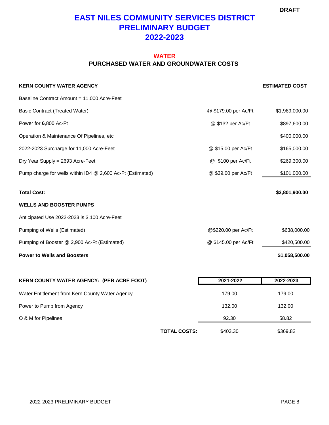### **EAST NILES COMMUNITY SERVICES DISTRICT PRELIMINARY BUDGET 2022-2023**

### **PURCHASED WATER AND GROUNDWATER COSTS WATER**

| <b>KERN COUNTY WATER AGENCY</b>                            |                      | <b>ESTIMATED COST</b> |
|------------------------------------------------------------|----------------------|-----------------------|
| Baseline Contract Amount = 11,000 Acre-Feet                |                      |                       |
| <b>Basic Contract (Treated Water)</b>                      | @ \$179.00 per Ac/Ft | \$1,969,000.00        |
| Power for 6,800 Ac-Ft                                      | @ \$132 per Ac/Ft    | \$897,600.00          |
| Operation & Maintenance Of Pipelines, etc                  |                      | \$400,000.00          |
| 2022-2023 Surcharge for 11,000 Acre-Feet                   | @ \$15.00 per Ac/Ft  | \$165,000.00          |
| Dry Year Supply = 2693 Acre-Feet                           | @ \$100 per Ac/Ft    | \$269,300.00          |
| Pump charge for wells within ID4 @ 2,600 Ac-Ft (Estimated) | @ \$39.00 per Ac/Ft  | \$101,000.00          |
| <b>Total Cost:</b>                                         |                      | \$3,801,900.00        |
| <b>WELLS AND BOOSTER PUMPS</b>                             |                      |                       |
| Anticipated Use 2022-2023 is 3,100 Acre-Feet               |                      |                       |
| Pumping of Wells (Estimated)                               | @\$220.00 per Ac/Ft  | \$638,000.00          |
| Pumping of Booster @ 2,900 Ac-Ft (Estimated)               | @ \$145.00 per Ac/Ft | \$420,500.00          |
| <b>Power to Wells and Boosters</b>                         |                      | \$1,058,500.00        |
|                                                            |                      |                       |
| KERN COUNTY WATER AGENCY: (PER ACRE FOOT)                  | 2021-2022            | 2022-2023             |
| Water Entitlement from Kern County Water Agency            | 179.00               | 179.00                |
| Power to Pump from Agency                                  | 132.00               | 132.00                |
| O & M for Pipelines                                        | 92.30                | 58.82                 |

**TOTAL COSTS:** \$403.30 \$369.82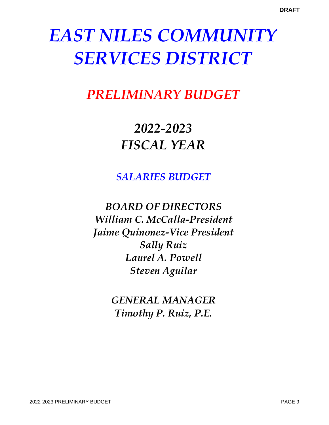# *PRELIMINARY BUDGET*

# *2022-2023 FISCAL YEAR*

*SALARIES BUDGET*

*BOARD OF DIRECTORS William C. McCalla-President Jaime Quinonez-Vice President Sally Ruiz Laurel A. Powell Steven Aguilar*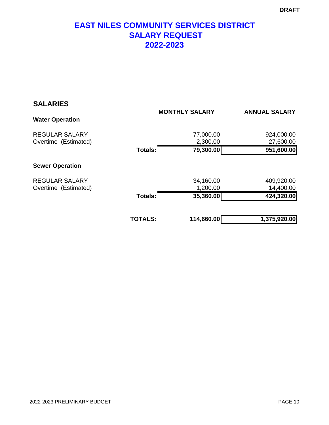### **EAST NILES COMMUNITY SERVICES DISTRICT SALARY REQUEST 2022-2023**

| <b>SALARIES</b>                               |                |                       |                         |  |
|-----------------------------------------------|----------------|-----------------------|-------------------------|--|
| <b>Water Operation</b>                        |                | <b>MONTHLY SALARY</b> | <b>ANNUAL SALARY</b>    |  |
| <b>REGULAR SALARY</b><br>Overtime (Estimated) |                | 77,000.00<br>2,300.00 | 924,000.00<br>27,600.00 |  |
|                                               | <b>Totals:</b> | 79,300.00             | 951,600.00              |  |
| <b>Sewer Operation</b>                        |                |                       |                         |  |
| <b>REGULAR SALARY</b><br>Overtime (Estimated) |                | 34,160.00<br>1,200.00 | 409,920.00<br>14,400.00 |  |
|                                               | Totals:        | 35,360.00             | 424,320.00              |  |
|                                               |                |                       |                         |  |
|                                               | <b>TOTALS:</b> | 114,660.00            | 1,375,920.00            |  |
|                                               |                |                       |                         |  |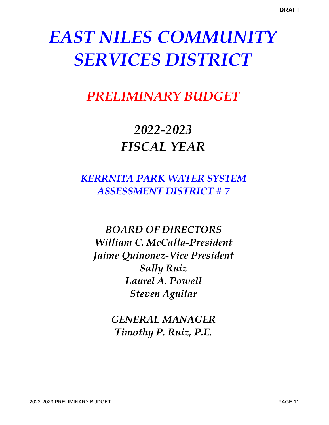## *PRELIMINARY BUDGET*

# *2022-2023 FISCAL YEAR*

## *KERRNITA PARK WATER SYSTEM ASSESSMENT DISTRICT # 7*

*BOARD OF DIRECTORS William C. McCalla-President Jaime Quinonez-Vice President Sally Ruiz Laurel A. Powell Steven Aguilar*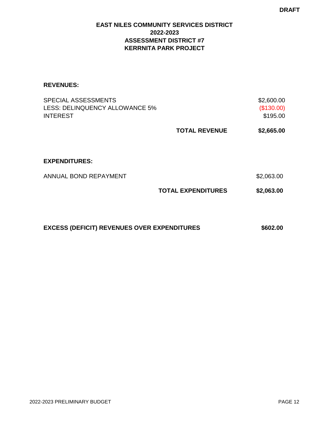### **EAST NILES COMMUNITY SERVICES DISTRICT 2022-2023 ASSESSMENT DISTRICT #7 KERRNITA PARK PROJECT**

#### **REVENUES:**

|                      | \$2,600.00<br>(\$130.00)<br>\$195.00 |
|----------------------|--------------------------------------|
| <b>TOTAL REVENUE</b> | \$2,665.00                           |
|                      |                                      |
|                      | \$2,063.00                           |
|                      | \$2,063.00                           |
|                      | <b>TOTAL EXPENDITURES</b>            |

**EXCESS (DEFICIT) REVENUES OVER EXPENDITURES** \$602.00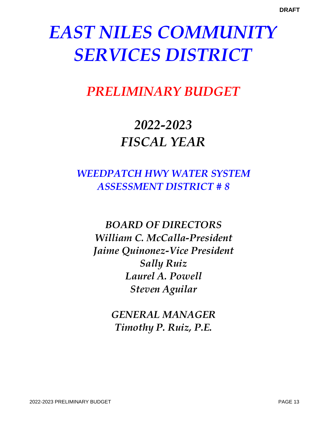# *PRELIMINARY BUDGET*

# *2022-2023 FISCAL YEAR*

## *WEEDPATCH HWY WATER SYSTEM ASSESSMENT DISTRICT # 8*

*BOARD OF DIRECTORS William C. McCalla-President Jaime Quinonez-Vice President Sally Ruiz Laurel A. Powell Steven Aguilar*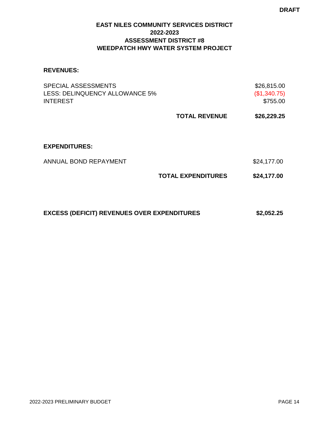### **EAST NILES COMMUNITY SERVICES DISTRICT 2022-2023 ASSESSMENT DISTRICT #8 WEEDPATCH HWY WATER SYSTEM PROJECT**

#### **REVENUES:**

| <b>SPECIAL ASSESSMENTS</b><br>LESS: DELINQUENCY ALLOWANCE 5%<br><b>INTEREST</b> |                           | \$26,815.00<br>(\$1,340.75)<br>\$755.00 |
|---------------------------------------------------------------------------------|---------------------------|-----------------------------------------|
|                                                                                 | <b>TOTAL REVENUE</b>      | \$26,229.25                             |
|                                                                                 |                           |                                         |
| <b>EXPENDITURES:</b>                                                            |                           |                                         |
| ANNUAL BOND REPAYMENT                                                           |                           | \$24,177.00                             |
|                                                                                 | <b>TOTAL EXPENDITURES</b> | \$24,177.00                             |
|                                                                                 |                           |                                         |
| <b>EXCESS (DEFICIT) REVENUES OVER EXPENDITURES</b>                              |                           | \$2,052.25                              |
|                                                                                 |                           |                                         |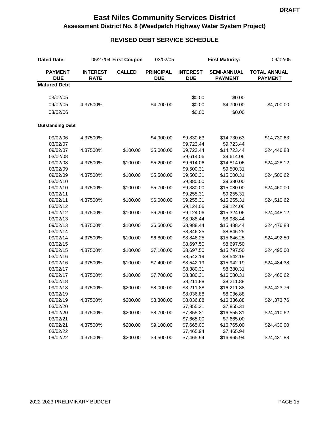### **East Niles Community Services District Assessment District No. 8 (Weedpatch Highway Water System Project)**

### **REVISED DEBT SERVICE SCHEDULE**

| <b>Dated Date:</b>           |                                | 05/27/04 First Coupon | 03/02/05                       | <b>First Maturity:</b>        |                                      | 09/02/05                              |  |
|------------------------------|--------------------------------|-----------------------|--------------------------------|-------------------------------|--------------------------------------|---------------------------------------|--|
| <b>PAYMENT</b><br><b>DUE</b> | <b>INTEREST</b><br><b>RATE</b> | <b>CALLED</b>         | <b>PRINCIPAL</b><br><b>DUE</b> | <b>INTEREST</b><br><b>DUE</b> | <b>SEMI-ANNUAL</b><br><b>PAYMENT</b> | <b>TOTAL ANNUAL</b><br><b>PAYMENT</b> |  |
| <b>Matured Debt</b>          |                                |                       |                                |                               |                                      |                                       |  |
| 03/02/05                     |                                |                       |                                | \$0.00                        | \$0.00                               |                                       |  |
| 09/02/05                     |                                |                       |                                | \$0.00                        |                                      |                                       |  |
|                              | 4.37500%                       |                       | \$4,700.00                     |                               | \$4,700.00                           | \$4,700.00                            |  |
| 03/02/06                     |                                |                       |                                | \$0.00                        | \$0.00                               |                                       |  |
| <b>Outstanding Debt</b>      |                                |                       |                                |                               |                                      |                                       |  |
| 09/02/06                     | 4.37500%                       |                       | \$4,900.00                     | \$9,830.63                    | \$14,730.63                          | \$14,730.63                           |  |
| 03/02/07                     |                                |                       |                                | \$9,723.44                    | \$9,723.44                           |                                       |  |
| 09/02/07                     | 4.37500%                       | \$100.00              | \$5,000.00                     | \$9,723.44                    | \$14,723.44                          | \$24,446.88                           |  |
| 03/02/08                     |                                |                       |                                | \$9,614.06                    | \$9,614.06                           |                                       |  |
| 09/02/08                     | 4.37500%                       | \$100.00              | \$5,200.00                     | \$9,614.06                    | \$14,814.06                          | \$24,428.12                           |  |
| 03/02/09                     |                                |                       |                                | \$9,500.31                    | \$9,500.31                           |                                       |  |
| 09/02/09                     | 4.37500%                       | \$100.00              | \$5,500.00                     | \$9,500.31                    | \$15,000.31                          | \$24,500.62                           |  |
| 03/02/10                     |                                |                       |                                | \$9,380.00                    | \$9,380.00                           |                                       |  |
| 09/02/10                     | 4.37500%                       | \$100.00              | \$5,700.00                     | \$9,380.00                    | \$15,080.00                          | \$24,460.00                           |  |
| 03/02/11                     |                                |                       |                                | \$9,255.31                    | \$9,255.31                           |                                       |  |
| 09/02/11                     | 4.37500%                       | \$100.00              | \$6,000.00                     | \$9,255.31                    | \$15,255.31                          | \$24,510.62                           |  |
| 03/02/12                     |                                |                       |                                | \$9,124.06                    | \$9,124.06                           |                                       |  |
| 09/02/12                     | 4.37500%                       | \$100.00              | \$6,200.00                     | \$9,124.06                    | \$15,324.06                          | \$24,448.12                           |  |
| 03/02/13                     |                                |                       |                                | \$8,988.44                    | \$8,988.44                           |                                       |  |
| 09/02/13                     | 4.37500%                       | \$100.00              | \$6,500.00                     | \$8,988.44                    | \$15,488.44                          | \$24,476.88                           |  |
| 03/02/14                     |                                |                       |                                | \$8,846.25                    | \$8,846.25                           |                                       |  |
| 09/02/14                     | 4.37500%                       | \$100.00              | \$6,800.00                     | \$8,846.25                    | \$15,646.25                          | \$24,492.50                           |  |
| 03/02/15                     |                                |                       |                                | \$8,697.50                    | \$8,697.50                           |                                       |  |
| 09/02/15                     | 4.37500%                       | \$100.00              | \$7,100.00                     | \$8,697.50                    | \$15,797.50                          | \$24,495.00                           |  |
| 03/02/16                     |                                |                       |                                | \$8,542.19                    | \$8,542.19                           |                                       |  |
| 09/02/16                     | 4.37500%                       | \$100.00              | \$7,400.00                     | \$8,542.19                    | \$15,942.19                          | \$24,484.38                           |  |
| 03/02/17                     |                                |                       |                                | \$8,380.31                    | \$8,380.31                           |                                       |  |
| 09/02/17                     | 4.37500%                       | \$100.00              | \$7,700.00                     | \$8,380.31                    | \$16,080.31                          | \$24,460.62                           |  |
| 03/02/18                     |                                |                       |                                | \$8,211.88                    | \$8,211.88                           |                                       |  |
| 09/02/18                     | 4.37500%                       | \$200.00              | \$8,000.00                     | \$8,211.88                    | \$16,211.88                          | \$24,423.76                           |  |
| 03/02/19                     |                                |                       |                                | \$8,036.88                    | \$8,036.88                           |                                       |  |
| 09/02/19                     | 4.37500%                       | \$200.00              | \$8,300.00                     | \$8,036.88                    | \$16,336.88                          | \$24,373.76                           |  |
| 03/02/20                     |                                |                       |                                | \$7,855.31                    | \$7,855.31                           |                                       |  |
| 09/02/20                     | 4.37500%                       | \$200.00              | \$8,700.00                     | \$7,855.31                    | \$16,555.31                          | \$24,410.62                           |  |
| 03/02/21                     |                                |                       |                                | \$7,665.00                    | \$7,665.00                           |                                       |  |
| 09/02/21                     | 4.37500%                       | \$200.00              | \$9,100.00                     | \$7,665.00                    | \$16,765.00                          | \$24,430.00                           |  |
| 03/02/22                     |                                |                       |                                | \$7,465.94                    | \$7,465.94                           |                                       |  |
| 09/02/22                     | 4.37500%                       | \$200.00              | \$9,500.00                     | \$7,465.94                    | \$16,965.94                          | \$24,431.88                           |  |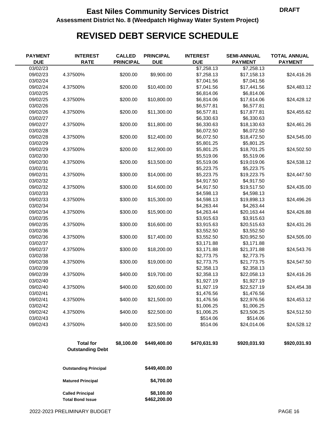### **East Niles Community Services District CONVIDENT DRAFT Assessment District No. 8 (Weedpatch Highway Water System Project)**

## **REVISED DEBT SERVICE SCHEDULE**

| <b>PAYMENT</b><br><b>DUE</b> | <b>INTEREST</b><br><b>RATE</b>                     | <b>CALLED</b><br><b>PRINCIPAL</b> | <b>PRINCIPAL</b><br><b>DUE</b> | <b>INTEREST</b><br><b>DUE</b> | <b>SEMI-ANNUAL</b><br><b>PAYMENT</b> | <b>TOTAL ANNUAL</b><br><b>PAYMENT</b> |
|------------------------------|----------------------------------------------------|-----------------------------------|--------------------------------|-------------------------------|--------------------------------------|---------------------------------------|
| 03/02/23                     |                                                    |                                   |                                | \$7,258.13                    | \$7,258.13                           |                                       |
| 09/02/23                     | 4.37500%                                           | \$200.00                          | \$9,900.00                     | \$7,258.13                    | \$17,158.13                          | \$24,416.26                           |
| 03/02/24                     |                                                    |                                   |                                | \$7,041.56                    | \$7,041.56                           |                                       |
| 09/02/24                     | 4.37500%                                           | \$200.00                          | \$10,400.00                    | \$7,041.56                    | \$17,441.56                          | \$24,483.12                           |
| 03/02/25                     |                                                    |                                   |                                | \$6,814.06                    | \$6,814.06                           |                                       |
| 09/02/25                     | 4.37500%                                           | \$200.00                          | \$10,800.00                    | \$6,814.06                    | \$17,614.06                          | \$24,428.12                           |
| 03/02/26                     |                                                    |                                   |                                | \$6,577.81                    | \$6,577.81                           |                                       |
| 09/02/26                     | 4.37500%                                           | \$200.00                          | \$11,300.00                    | \$6,577.81                    | \$17,877.81                          | \$24,455.62                           |
| 03/02/27                     |                                                    |                                   |                                | \$6,330.63                    | \$6,330.63                           |                                       |
| 09/02/27                     | 4.37500%                                           | \$200.00                          | \$11,800.00                    | \$6,330.63                    | \$18,130.63                          | \$24,461.26                           |
| 03/02/28                     |                                                    |                                   |                                | \$6,072.50                    | \$6,072.50                           |                                       |
| 09/02/28                     | 4.37500%                                           | \$200.00                          | \$12,400.00                    | \$6,072.50                    | \$18,472.50                          | \$24,545.00                           |
| 03/02/29                     |                                                    |                                   |                                | \$5,801.25                    | \$5,801.25                           |                                       |
| 09/02/29                     | 4.37500%                                           | \$200.00                          | \$12,900.00                    | \$5,801.25                    | \$18,701.25                          | \$24,502.50                           |
| 03/02/30                     |                                                    |                                   |                                | \$5,519.06                    | \$5,519.06                           |                                       |
| 09/02/30                     | 4.37500%                                           | \$200.00                          | \$13,500.00                    | \$5,519.06                    | \$19,019.06                          | \$24,538.12                           |
| 03/02/31                     |                                                    |                                   |                                | \$5,223.75                    | \$5,223.75                           |                                       |
| 09/02/31                     | 4.37500%                                           | \$300.00                          | \$14,000.00                    | \$5,223.75                    | \$19,223.75                          | \$24,447.50                           |
| 03/02/32                     |                                                    |                                   |                                | \$4,917.50                    | \$4,917.50                           |                                       |
| 09/02/32                     | 4.37500%                                           | \$300.00                          | \$14,600.00                    | \$4,917.50                    | \$19,517.50                          | \$24,435.00                           |
| 03/02/33                     |                                                    |                                   |                                | \$4,598.13                    | \$4,598.13                           |                                       |
| 09/02/33                     | 4.37500%                                           | \$300.00                          | \$15,300.00                    | \$4,598.13                    | \$19,898.13                          | \$24,496.26                           |
| 03/02/34                     |                                                    |                                   |                                | \$4,263.44                    | \$4,263.44                           |                                       |
| 09/02/34                     | 4.37500%                                           | \$300.00                          | \$15,900.00                    | \$4,263.44                    | \$20,163.44                          | \$24,426.88                           |
| 03/02/35                     |                                                    |                                   |                                | \$3,915.63                    | \$3,915.63                           |                                       |
| 09/02/35                     | 4.37500%                                           | \$300.00                          | \$16,600.00                    | \$3,915.63                    | \$20,515.63                          | \$24,431.26                           |
| 03/02/36                     |                                                    |                                   |                                | \$3,552.50                    | \$3,552.50                           |                                       |
| 09/02/36                     | 4.37500%                                           | \$300.00                          | \$17,400.00                    | \$3,552.50                    | \$20,952.50                          | \$24,505.00                           |
| 03/02/37                     |                                                    |                                   |                                | \$3,171.88                    | \$3,171.88                           |                                       |
| 09/02/37                     | 4.37500%                                           | \$300.00                          | \$18,200.00                    | \$3,171.88                    | \$21,371.88                          | \$24,543.76                           |
| 03/02/38                     |                                                    |                                   |                                | \$2,773.75                    | \$2,773.75                           |                                       |
| 09/02/38                     | 4.37500%                                           | \$300.00                          | \$19,000.00                    | \$2,773.75                    | \$21,773.75                          | \$24,547.50                           |
| 03/02/39                     |                                                    |                                   |                                | \$2,358.13                    | \$2,358.13                           |                                       |
| 09/02/39                     | 4.37500%                                           | \$400.00                          | \$19,700.00                    | \$2,358.13                    | \$22,058.13                          | \$24,416.26                           |
| 03/02/40                     |                                                    |                                   |                                | \$1,927.19                    | \$1,927.19                           |                                       |
| 09/02/40                     | 4.37500%                                           | \$400.00                          | \$20,600.00                    | \$1,927.19                    | \$22,527.19                          | \$24,454.38                           |
| 03/02/41                     |                                                    |                                   |                                | \$1,476.56                    | \$1,476.56                           |                                       |
| 09/02/41                     | 4.37500%                                           | \$400.00                          | \$21,500.00                    | \$1,476.56                    | \$22,976.56                          | \$24,453.12                           |
| 03/02/42                     |                                                    |                                   |                                | \$1,006.25                    | \$1,006.25                           |                                       |
| 09/02/42                     | 4.37500%                                           | \$400.00                          | \$22,500.00                    | \$1,006.25                    | \$23,506.25                          | \$24,512.50                           |
| 03/02/43                     |                                                    |                                   |                                | \$514.06                      | \$514.06                             |                                       |
| 09/02/43                     | 4.37500%                                           | \$400.00                          | \$23,500.00                    | \$514.06                      | \$24,014.06                          | \$24,528.12                           |
|                              |                                                    |                                   |                                |                               |                                      |                                       |
|                              | <b>Total for</b><br><b>Outstanding Debt</b>        | \$8,100.00                        | \$449,400.00                   | \$470,631.93                  | \$920,031.93                         | \$920,031.93                          |
|                              | <b>Outstanding Principal</b>                       |                                   | \$449,400.00                   |                               |                                      |                                       |
|                              | <b>Matured Principal</b>                           |                                   | \$4,700.00                     |                               |                                      |                                       |
|                              | <b>Called Principal</b><br><b>Total Bond Issue</b> |                                   | \$8,100.00<br>\$462,200.00     |                               |                                      |                                       |